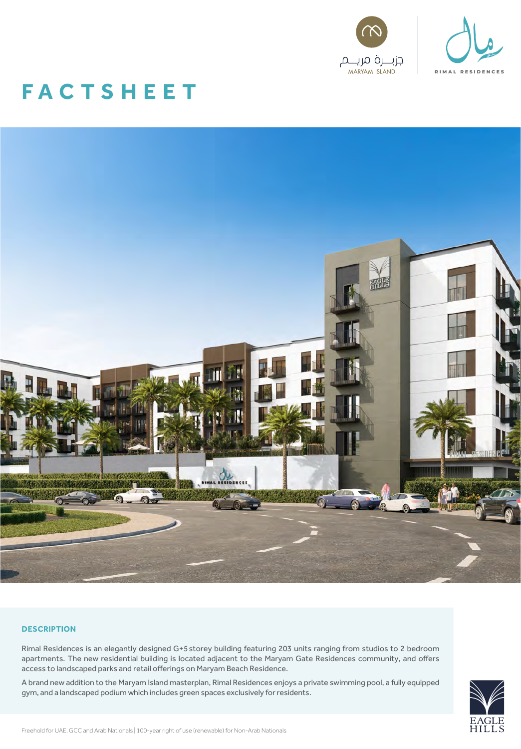

# **FAC TS H E E T**



# **DESCRIPTION**

Rimal Residences is an elegantly designed G+5 storey building featuring 203 units ranging from studios to 2 bedroom apartments. The new residential building is located adjacent to the Maryam Gate Residences community, and offers access to landscaped parks and retail offerings on Maryam Beach Residence.

A brand new addition to the Maryam Island masterplan, Rimal Residences enjoys a private swimming pool, a fully equipped gym, and a landscaped podium which includes green spaces exclusively for residents.